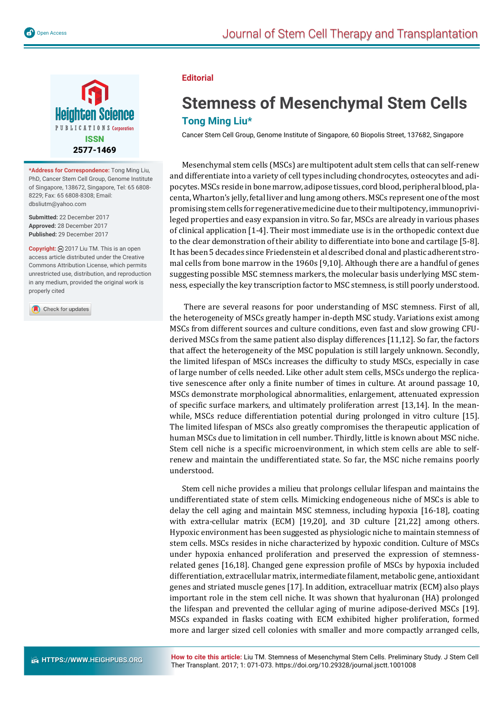

**\*Address for Correspondence:** Tong Ming Liu, PhD, Cancer Stem Cell Group, Genome Institute of Singapore, 138672, Singapore, Tel: 65 6808- 8229; Fax: 65 6808-8308; Email: dbsliutm@yahoo.com

**Submitted:** 22 December 2017 **Approved:** 28 December 2017 **Published:** 29 December 2017

**Copyright:** 2017 Liu TM. This is an open access article distributed under the Creative Commons Attribution License, which permits unrestricted use, distribution, and reproduction in any medium, provided the original work is properly cited

Check for updates

## **Editorial**

## **Stemness of Mesenchymal Stem Cells Tong Ming Liu\***

Cancer Stem Cell Group, Genome Institute of Singapore, 60 Biopolis Street, 137682, Singapore

Mesenchymal stem cells (MSCs) are multipotent adult stem cells that can self-renew and differentiate into a variety of cell types including chondrocytes, osteocytes and adipocytes. MSCs reside in bone marrow, adipose tissues, cord blood, peripheral blood, placenta, Wharton's jelly, fetal liver and lung among others. MSCs represent one of the most promising stem cells for regenerative medicine due to their multipotency, immunoprivileged properties and easy expansion in vitro. So far, MSCs are already in various phases of clinical application [1-4]. Their most immediate use is in the orthopedic context due to the clear demonstration of their ability to differentiate into bone and cartilage [5-8]. It has been 5 decades since Friedenstein et al described clonal and plastic adherent stromal cells from bone marrow in the 1960s [9,10]. Although there are a handful of genes suggesting possible MSC stemness markers, the molecular basis underlying MSC stemness, especially the key transcription factor to MSC stemness, is still poorly understood.

 There are several reasons for poor understanding of MSC stemness. First of all, the heterogeneity of MSCs greatly hamper in-depth MSC study. Variations exist among MSCs from different sources and culture conditions, even fast and slow growing CFUderived MSCs from the same patient also display differences [11,12]. So far, the factors that affect the heterogeneity of the MSC population is still largely unknown. Secondly, the limited lifespan of MSCs increases the difficulty to study MSCs, especially in case of large number of cells needed. Like other adult stem cells, MSCs undergo the replicative senescence after only a finite number of times in culture. At around passage 10, MSCs demonstrate morphological abnormalities, enlargement, attenuated expression of specific surface markers, and ultimately proliferation arrest  $[13,14]$ . In the meanwhile, MSCs reduce differentiation potential during prolonged in vitro culture [15]. The limited lifespan of MSCs also greatly compromises the therapeutic application of human MSCs due to limitation in cell number. Thirdly, little is known about MSC niche. Stem cell niche is a specific microenvironment, in which stem cells are able to selfrenew and maintain the undifferentiated state. So far, the MSC niche remains poorly understood.

Stem cell niche provides a milieu that prolongs cellular lifespan and maintains the undifferentiated state of stem cells. Mimicking endogeneous niche of MSCs is able to delay the cell aging and maintain MSC stemness, including hypoxia [16-18], coating with extra-cellular matrix (ECM) [19,20], and 3D culture [21,22] among others. Hypoxic environment has been suggested as physiologic niche to maintain stemness of stem cells. MSCs resides in niche characterized by hypoxic condition. Culture of MSCs under hypoxia enhanced proliferation and preserved the expression of stemnessrelated genes [16,18]. Changed gene expression profile of MSCs by hypoxia included differentiation, extracellular matrix, intermediate ϐilament, metabolic gene, antioxidant genes and striated muscle genes [17]. In addition, extracelluar matrix (ECM) also plays important role in the stem cell niche. It was shown that hyaluronan (HA) prolonged the lifespan and prevented the cellular aging of murine adipose-derived MSCs [19]. MSCs expanded in flasks coating with ECM exhibited higher proliferation, formed more and larger sized cell colonies with smaller and more compactly arranged cells,

**How to cite this article:** Liu TM. Stemness of Mesenchymal Stem Cells. Preliminary Study. J Stem Cell Ther Transplant. 2017; 1: 071-073. https://doi.org/10.29328/journal.jsctt.1001008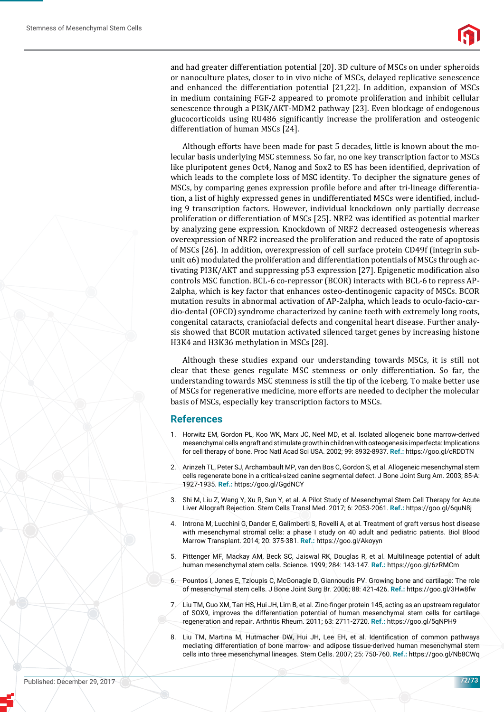and had greater differentiation potential [20]. 3D culture of MSCs on under spheroids or nanoculture plates, closer to in vivo niche of MSCs, delayed replicative senescence and enhanced the differentiation potential [21,22]. In addition, expansion of MSCs in medium containing FGF-2 appeared to promote proliferation and inhibit cellular senescence through a PI3K/AKT-MDM2 pathway [23]. Even blockage of endogenous glucocorticoids using RU486 significantly increase the proliferation and osteogenic differentiation of human MSCs [24].

Although efforts have been made for past 5 decades, little is known about the molecular basis underlying MSC stemness. So far, no one key transcription factor to MSCs like pluripotent genes Oct4, Nanog and Sox2 to ES has been identified, deprivation of which leads to the complete loss of MSC identity. To decipher the signature genes of MSCs, by comparing genes expression profile before and after tri-lineage differentiation, a list of highly expressed genes in undifferentiated MSCs were identified, including 9 transcription factors. However, individual knockdown only partially decrease proliferation or differentiation of MSCs [25]. NRF2 was identified as potential marker by analyzing gene expression. Knockdown of NRF2 decreased osteogenesis whereas overexpression of NRF2 increased the proliferation and reduced the rate of apoptosis of MSCs [26]. In addition, overexpression of cell surface protein CD49f (integrin subunit  $\alpha$ 6) modulated the proliferation and differentiation potentials of MSCs through activating PI3K/AKT and suppressing p53 expression [27]. Epigenetic modification also controls MSC function. BCL-6 co-repressor (BCOR) interacts with BCL-6 to repress AP-2alpha, which is key factor that enhances osteo-dentinogenic capacity of MSCs. BCOR mutation results in abnormal activation of AP-2alpha, which leads to oculo-facio-cardio-dental (OFCD) syndrome characterized by canine teeth with extremely long roots, congenital cataracts, craniofacial defects and congenital heart disease. Further analysis showed that BCOR mutation activated silenced target genes by increasing histone H3K4 and H3K36 methylation in MSCs [28].

Although these studies expand our understanding towards MSCs, it is still not clear that these genes regulate MSC stemness or only differentiation. So far, the understanding towards MSC stemness is still the tip of the iceberg*.* To make better use of MSCs for regenerative medicine, more efforts are needed to decipher the molecular basis of MSCs, especially key transcription factors to MSCs.

## **References**

- 1. Horwitz EM, Gordon PL, Koo WK, Marx JC, Neel MD, et al. Isolated allogeneic bone marrow-derived mesenchymal cells engraft and stimulate growth in children with osteogenesis imperfecta: Implications for cell therapy of bone. Proc Natl Acad Sci USA. 2002; 99: 8932-8937. **Ref.:** https://goo.gl/cRDDTN
- 2. Arinzeh TL, Peter SJ, Archambault MP, van den Bos C, Gordon S, et al. Allogeneic mesenchymal stem cells regenerate bone in a critical-sized canine segmental defect. J Bone Joint Surg Am. 2003; 85-A: 1927-1935. **Ref.:** https://goo.gl/GgdNCY
- 3. Shi M, Liu Z, Wang Y, Xu R, Sun Y, et al. A Pilot Study of Mesenchymal Stem Cell Therapy for Acute Liver Allograft Rejection. Stem Cells Transl Med. 2017; 6: 2053-2061. **Ref.:** https://goo.gl/6quN8j
- 4. Introna M, Lucchini G, Dander E, Galimberti S, Rovelli A, et al. Treatment of graft versus host disease with mesenchymal stromal cells: a phase I study on 40 adult and pediatric patients. Biol Blood Marrow Transplant. 2014; 20: 375-381. **Ref.:** https://goo.gl/Akoyyn
- 5. Pittenger MF, Mackay AM, Beck SC, Jaiswal RK, Douglas R, et al. Multilineage potential of adult human mesenchymal stem cells. Science. 1999; 284: 143-147. **Ref.:** https://goo.gl/6zRMCm
- 6. Pountos I, Jones E, Tzioupis C, McGonagle D, Giannoudis PV. Growing bone and cartilage: The role of mesenchymal stem cells. J Bone Joint Surg Br. 2006; 88: 421-426. **Ref.:** https://goo.gl/3Hw8fw
- 7. Liu TM, Guo XM, Tan HS, Hui JH, Lim B, et al. Zinc-finger protein 145, acting as an upstream regulator of SOX9, improves the differentiation potential of human mesenchymal stem cells for cartilage regeneration and repair. Arthritis Rheum. 2011; 63: 2711-2720. **Ref.:** https://goo.gl/5qNPH9
- 8. Liu TM, Martina M, Hutmacher DW, Hui JH, Lee EH, et al. Identification of common pathways mediating differentiation of bone marrow- and adipose tissue-derived human mesenchymal stem cells into three mesenchymal lineages. Stem Cells. 2007; 25: 750-760. **Ref.:** https://goo.gl/Nb8CWq